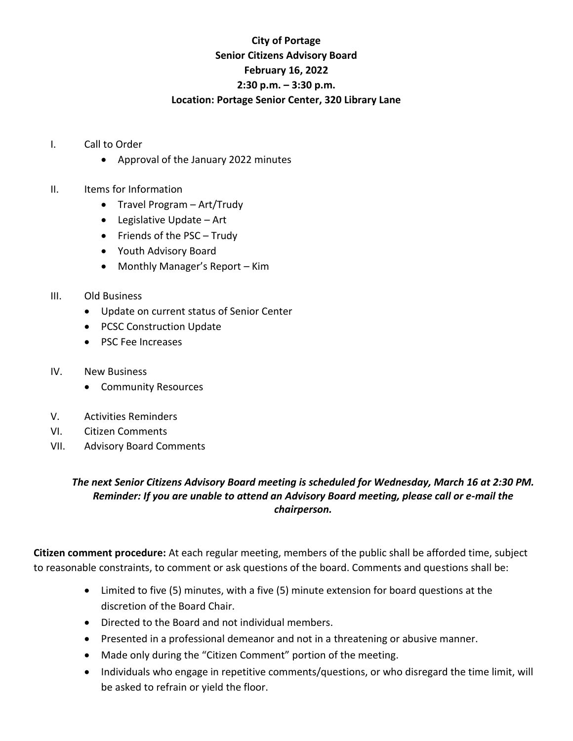## **City of Portage Senior Citizens Advisory Board February 16, 2022 2:30 p.m. – 3:30 p.m. Location: Portage Senior Center, 320 Library Lane**

- I. Call to Order
	- Approval of the January 2022 minutes
- II. Items for Information
	- Travel Program Art/Trudy
	- Legislative Update Art
	- Friends of the PSC Trudy
	- Youth Advisory Board
	- Monthly Manager's Report Kim
- III. Old Business
	- Update on current status of Senior Center
	- PCSC Construction Update
	- PSC Fee Increases
- IV. New Business
	- Community Resources
- V. Activities Reminders
- VI. Citizen Comments
- VII. Advisory Board Comments

## *The next Senior Citizens Advisory Board meeting is scheduled for Wednesday, March 16 at 2:30 PM. Reminder: If you are unable to attend an Advisory Board meeting, please call or e-mail the chairperson.*

**Citizen comment procedure:** At each regular meeting, members of the public shall be afforded time, subject to reasonable constraints, to comment or ask questions of the board. Comments and questions shall be:

- Limited to five (5) minutes, with a five (5) minute extension for board questions at the discretion of the Board Chair.
- Directed to the Board and not individual members.
- Presented in a professional demeanor and not in a threatening or abusive manner.
- Made only during the "Citizen Comment" portion of the meeting.
- Individuals who engage in repetitive comments/questions, or who disregard the time limit, will be asked to refrain or yield the floor.